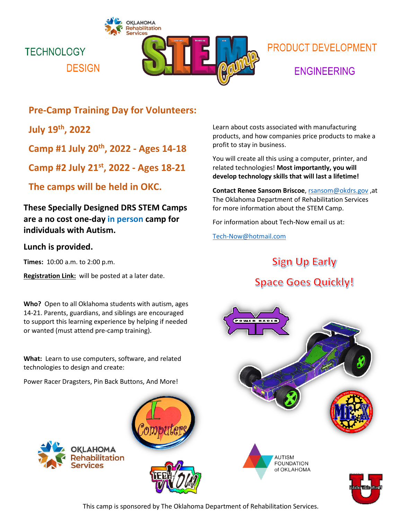



# **PRODUCT DEVELOPMENT ENGINEERING**

### **Pre-Camp Training Day for Volunteers:**

**July 19th, 2022**

**Camp #1 July 20th , 2022 - Ages 14-18**

**Camp #2 July 21st , 2022 - Ages 18-21**

**The camps will be held in OKC.**

**These Specially Designed DRS STEM Camps are a no cost one-day in person camp for individuals with Autism.**

### **Lunch is provided.**

**Times:** 10:00 a.m. to 2:00 p.m.

**Registration Link:** will be posted at a later date.

**Who?** Open to all Oklahoma students with autism, ages 14-21. Parents, guardians, and siblings are encouraged to support this learning experience by helping if needed or wanted (must attend pre-camp training).

**What:** Learn to use computers, software, and related technologies to design and create:

Power Racer Dragsters, Pin Back Buttons, And More!







Learn about costs associated with manufacturing products, and how companies price products to make a profit to stay in business.

You will create all this using a computer, printer, and related technologies! **Most importantly, you will develop technology skills that will last a lifetime!**

**Contact Renee Sansom Briscoe**, [rsansom@okdrs.gov](mailto:rsansom@okdrs.gov) ,at The Oklahoma Department of Rehabilitation Services for more information about the STEM Camp.

For information about Tech-Now email us at:

[Tech-Now@hotmail.com](mailto:Tech-Now@hotmail.com)

## **Sign Up Early**

# **Space Goes Quickly!**







This camp is sponsored by The Oklahoma Department of Rehabilitation Services.